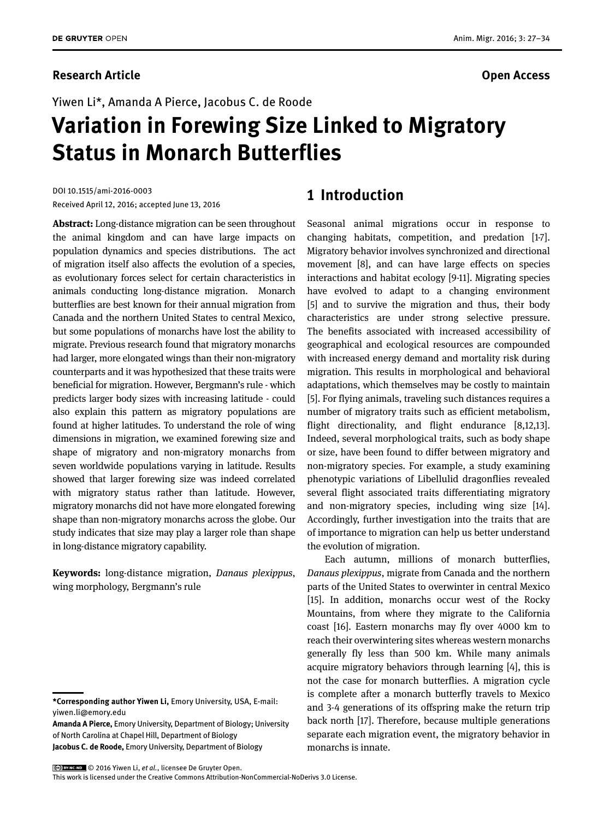## **Research Article Open Access**

Yiwen Li\*, Amanda A Pierce, Jacobus C. de Roode

# **Variation in Forewing Size Linked to Migratory Status in Monarch Butterflies**

DOI 10.1515/ami-2016-0003 Received April 12, 2016; accepted June 13, 2016

**Abstract:** Long-distance migration can be seen throughout the animal kingdom and can have large impacts on population dynamics and species distributions. The act of migration itself also affects the evolution of a species, as evolutionary forces select for certain characteristics in animals conducting long-distance migration. Monarch butterflies are best known for their annual migration from Canada and the northern United States to central Mexico, but some populations of monarchs have lost the ability to migrate. Previous research found that migratory monarchs had larger, more elongated wings than their non-migratory counterparts and it was hypothesized that these traits were beneficial for migration. However, Bergmann's rule - which predicts larger body sizes with increasing latitude - could also explain this pattern as migratory populations are found at higher latitudes. To understand the role of wing dimensions in migration, we examined forewing size and shape of migratory and non-migratory monarchs from seven worldwide populations varying in latitude. Results showed that larger forewing size was indeed correlated with migratory status rather than latitude. However, migratory monarchs did not have more elongated forewing shape than non-migratory monarchs across the globe. Our study indicates that size may play a larger role than shape in long-distance migratory capability.

**Keywords:** long-distance migration, *Danaus plexippus*, wing morphology, Bergmann's rule

**Jacobus C. de Roode,** Emory University, Department of Biology

## **1 Introduction**

Seasonal animal migrations occur in response to changing habitats, competition, and predation [1-7]. Migratory behavior involves synchronized and directional movement [8], and can have large effects on species interactions and habitat ecology [9-11]. Migrating species have evolved to adapt to a changing environment [5] and to survive the migration and thus, their body characteristics are under strong selective pressure. The benefits associated with increased accessibility of geographical and ecological resources are compounded with increased energy demand and mortality risk during migration. This results in morphological and behavioral adaptations, which themselves may be costly to maintain [5]. For flying animals, traveling such distances requires a number of migratory traits such as efficient metabolism, flight directionality, and flight endurance [8,12,13]. Indeed, several morphological traits, such as body shape or size, have been found to differ between migratory and non-migratory species. For example, a study examining phenotypic variations of Libellulid dragonflies revealed several flight associated traits differentiating migratory and non-migratory species, including wing size [14]. Accordingly, further investigation into the traits that are of importance to migration can help us better understand the evolution of migration.

Each autumn, millions of monarch butterflies, *Danaus plexippus*, migrate from Canada and the northern parts of the United States to overwinter in central Mexico [15]. In addition, monarchs occur west of the Rocky Mountains, from where they migrate to the California coast [16]. Eastern monarchs may fly over 4000 km to reach their overwintering sites whereas western monarchs generally fly less than 500 km. While many animals acquire migratory behaviors through learning [4], this is not the case for monarch butterflies. A migration cycle is complete after a monarch butterfly travels to Mexico and 3-4 generations of its offspring make the return trip back north [17]. Therefore, because multiple generations separate each migration event, the migratory behavior in monarchs is innate.

© 2016 Yiwen Li, *et al.*, licensee De Gruyter Open.

This work is licensed under the Creative Commons Attribution-NonCommercial-NoDerivs 3.0 License.

**<sup>\*</sup>Corresponding author Yiwen Li,** Emory University, USA, E-mail: yiwen.li@emory.edu

**Amanda A Pierce,** Emory University, Department of Biology; University of North Carolina at Chapel Hill, Department of Biology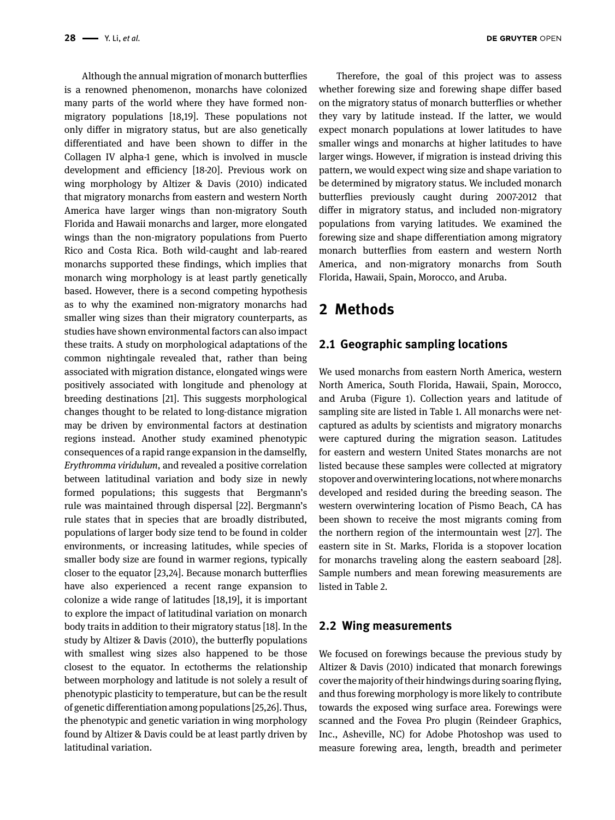Although the annual migration of monarch butterflies is a renowned phenomenon, monarchs have colonized many parts of the world where they have formed nonmigratory populations [18,19]. These populations not only differ in migratory status, but are also genetically differentiated and have been shown to differ in the Collagen IV alpha-1 gene, which is involved in muscle development and efficiency [18-20]. Previous work on wing morphology by Altizer & Davis (2010) indicated that migratory monarchs from eastern and western North America have larger wings than non-migratory South Florida and Hawaii monarchs and larger, more elongated wings than the non-migratory populations from Puerto Rico and Costa Rica. Both wild-caught and lab-reared monarchs supported these findings, which implies that monarch wing morphology is at least partly genetically based. However, there is a second competing hypothesis as to why the examined non-migratory monarchs had smaller wing sizes than their migratory counterparts, as studies have shown environmental factors can also impact these traits. A study on morphological adaptations of the common nightingale revealed that, rather than being associated with migration distance, elongated wings were positively associated with longitude and phenology at breeding destinations [21]. This suggests morphological changes thought to be related to long-distance migration may be driven by environmental factors at destination regions instead. Another study examined phenotypic consequences of a rapid range expansion in the damselfly, *Erythromma viridulum*, and revealed a positive correlation between latitudinal variation and body size in newly formed populations; this suggests that Bergmann's rule was maintained through dispersal [22]. Bergmann's rule states that in species that are broadly distributed, populations of larger body size tend to be found in colder environments, or increasing latitudes, while species of smaller body size are found in warmer regions, typically closer to the equator [23,24]. Because monarch butterflies have also experienced a recent range expansion to colonize a wide range of latitudes [18,19], it is important to explore the impact of latitudinal variation on monarch body traits in addition to their migratory status [18]. In the study by Altizer & Davis (2010), the butterfly populations with smallest wing sizes also happened to be those closest to the equator. In ectotherms the relationship between morphology and latitude is not solely a result of phenotypic plasticity to temperature, but can be the result of genetic differentiation among populations [25,26]. Thus, the phenotypic and genetic variation in wing morphology found by Altizer & Davis could be at least partly driven by latitudinal variation.

Therefore, the goal of this project was to assess whether forewing size and forewing shape differ based on the migratory status of monarch butterflies or whether they vary by latitude instead. If the latter, we would expect monarch populations at lower latitudes to have

smaller wings and monarchs at higher latitudes to have larger wings. However, if migration is instead driving this pattern, we would expect wing size and shape variation to be determined by migratory status. We included monarch butterflies previously caught during 2007-2012 that differ in migratory status, and included non-migratory populations from varying latitudes. We examined the forewing size and shape differentiation among migratory monarch butterflies from eastern and western North America, and non-migratory monarchs from South Florida, Hawaii, Spain, Morocco, and Aruba.

# **2 Methods**

## **2.1 Geographic sampling locations**

We used monarchs from eastern North America, western North America, South Florida, Hawaii, Spain, Morocco, and Aruba (Figure 1). Collection years and latitude of sampling site are listed in Table 1. All monarchs were netcaptured as adults by scientists and migratory monarchs were captured during the migration season. Latitudes for eastern and western United States monarchs are not listed because these samples were collected at migratory stopover and overwintering locations, not where monarchs developed and resided during the breeding season. The western overwintering location of Pismo Beach, CA has been shown to receive the most migrants coming from the northern region of the intermountain west [27]. The eastern site in St. Marks, Florida is a stopover location for monarchs traveling along the eastern seaboard [28]. Sample numbers and mean forewing measurements are listed in Table 2.

### **2.2 Wing measurements**

We focused on forewings because the previous study by Altizer & Davis (2010) indicated that monarch forewings cover the majority of their hindwings during soaring flying, and thus forewing morphology is more likely to contribute towards the exposed wing surface area. Forewings were scanned and the Fovea Pro plugin (Reindeer Graphics, Inc., Asheville, NC) for Adobe Photoshop was used to measure forewing area, length, breadth and perimeter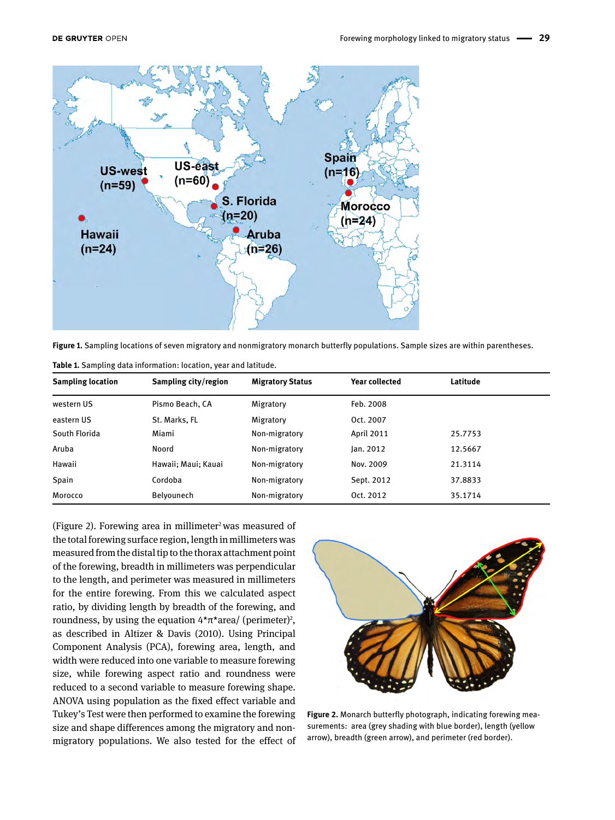

**Figure 1.** Sampling locations of seven migratory and nonmigratory monarch butterfly populations. Sample sizes are within parentheses.

| <b>Sampling location</b> | Sampling city/region | <b>Migratory Status</b> | <b>Year collected</b> | Latitude |  |
|--------------------------|----------------------|-------------------------|-----------------------|----------|--|
| western US               | Pismo Beach, CA      | Migratory               | Feb. 2008             |          |  |
| eastern US               | St. Marks, FL        | Migratory               | Oct. 2007             |          |  |
| South Florida            | Miami                | Non-migratory           | <b>April 2011</b>     | 25.7753  |  |
| Aruba                    | Noord                | Non-migratory           | lan. 2012             | 12.5667  |  |
| Hawaii                   | Hawaii; Maui; Kauai  | Non-migratory           | Nov. 2009             | 21.3114  |  |
| Spain                    | Cordoba              | Non-migratory           | Sept. 2012            | 37.8833  |  |
| Morocco                  | Belyounech           | Non-migratory           | Oct. 2012             | 35.1714  |  |

**Table 1.** Sampling data information: location, year and latitude.

(Figure 2). Forewing area in millimeter<sup>2</sup> was measured of the total forewing surface region, length in millimeters was measured from the distal tip to the thorax attachment point of the forewing, breadth in millimeters was perpendicular to the length, and perimeter was measured in millimeters for the entire forewing. From this we calculated aspect ratio, by dividing length by breadth of the forewing, and roundness, by using the equation  $4*\pi*$  area/ (perimeter)<sup>2</sup>, as described in Altizer & Davis (2010). Using Principal Component Analysis (PCA), forewing area, length, and width were reduced into one variable to measure forewing size, while forewing aspect ratio and roundness were reduced to a second variable to measure forewing shape. ANOVA using population as the fixed effect variable and Tukey's Test were then performed to examine the forewing size and shape differences among the migratory and nonmigratory populations. We also tested for the effect of



**Figure 2.** Monarch butterfly photograph, indicating forewing measurements: area (grey shading with blue border), length (yellow arrow), breadth (green arrow), and perimeter (red border).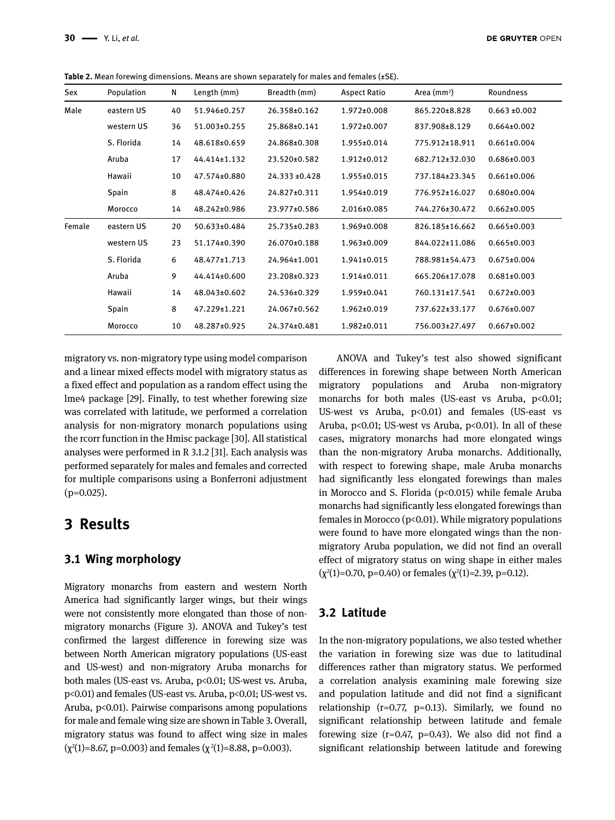|  |  |  | Table 2. Mean forewing dimensions. Means are shown separately for males and females $(\pm S\mathsf{E})$ . |
|--|--|--|-----------------------------------------------------------------------------------------------------------|
|--|--|--|-----------------------------------------------------------------------------------------------------------|

| Sex    | Population | N  | Length (mm)  | Breadth (mm)  | <b>Aspect Ratio</b> | Area $(mm2)$   | Roundness         |
|--------|------------|----|--------------|---------------|---------------------|----------------|-------------------|
| Male   | eastern US | 40 | 51.946±0.257 | 26.358±0.162  | $1.972 \pm 0.008$   | 865.220±8.828  | $0.663 \pm 0.002$ |
|        | western US | 36 | 51.003±0.255 | 25.868±0.141  | 1.972±0.007         | 837.908±8.129  | $0.664 \pm 0.002$ |
|        | S. Florida | 14 | 48.618±0.659 | 24.868±0.308  | 1.955±0.014         | 775.912±18.911 | $0.661 \pm 0.004$ |
|        | Aruba      | 17 | 44.414±1.132 | 23.520±0.582  | $1.912 \pm 0.012$   | 682.712±32.030 | $0.686 \pm 0.003$ |
|        | Hawaii     | 10 | 47.574±0.880 | 24.333 ±0.428 | 1.955±0.015         | 737.184±23.345 | $0.661 \pm 0.006$ |
|        | Spain      | 8  | 48.474±0.426 | 24.827±0.311  | 1.954±0.019         | 776.952±16.027 | $0.680 \pm 0.004$ |
|        | Morocco    | 14 | 48.242±0.986 | 23.977±0.586  | 2.016±0.085         | 744.276±30.472 | $0.662 \pm 0.005$ |
| Female | eastern US | 20 | 50.633±0.484 | 25.735±0.283  | 1.969±0.008         | 826.185±16.662 | $0.665 \pm 0.003$ |
|        | western US | 23 | 51.174±0.390 | 26.070±0.188  | 1.963±0.009         | 844.022±11.086 | $0.665 \pm 0.003$ |
|        | S. Florida | 6  | 48.477±1.713 | 24.964±1.001  | $1.941\pm0.015$     | 788.981±54.473 | $0.675 \pm 0.004$ |
|        | Aruba      | 9  | 44.414±0.600 | 23.208±0.323  | 1.914±0.011         | 665.206±17.078 | $0.681 \pm 0.003$ |
|        | Hawaii     | 14 | 48.043±0.602 | 24.536±0.329  | 1.959±0.041         | 760.131±17.541 | $0.672 \pm 0.003$ |
|        | Spain      | 8  | 47.229±1.221 | 24.067±0.562  | $1.962 \pm 0.019$   | 737.622±33.177 | $0.676 \pm 0.007$ |
|        | Morocco    | 10 | 48.287±0.925 | 24.374±0.481  | 1.982±0.011         | 756.003±27.497 | $0.667 \pm 0.002$ |

migratory vs. non-migratory type using model comparison and a linear mixed effects model with migratory status as a fixed effect and population as a random effect using the lme4 package [29]. Finally, to test whether forewing size was correlated with latitude, we performed a correlation analysis for non-migratory monarch populations using the rcorr function in the Hmisc package [30]. All statistical analyses were performed in R 3.1.2 [31]. Each analysis was performed separately for males and females and corrected for multiple comparisons using a Bonferroni adjustment  $(p=0.025)$ .

## **3 Results**

### **3.1 Wing morphology**

Migratory monarchs from eastern and western North America had significantly larger wings, but their wings were not consistently more elongated than those of nonmigratory monarchs (Figure 3). ANOVA and Tukey's test confirmed the largest difference in forewing size was between North American migratory populations (US-east and US-west) and non-migratory Aruba monarchs for both males (US-east vs. Aruba, p<0.01; US-west vs. Aruba, p<0.01) and females (US-east vs. Aruba, p<0.01; US-west vs. Aruba, p<0.01). Pairwise comparisons among populations for male and female wing size are shown in Table 3. Overall, migratory status was found to affect wing size in males (χ<sup>2</sup>(1)=8.67, p=0.003) and females (χ<sup>2</sup>(1)=8.88, p=0.003).

ANOVA and Tukey's test also showed significant differences in forewing shape between North American migratory populations and Aruba non-migratory monarchs for both males (US-east vs Aruba, p<0.01; US-west vs Aruba, p<0.01) and females (US-east vs Aruba, p<0.01; US-west vs Aruba, p<0.01). In all of these cases, migratory monarchs had more elongated wings than the non-migratory Aruba monarchs. Additionally, with respect to forewing shape, male Aruba monarchs had significantly less elongated forewings than males in Morocco and S. Florida (p<0.015) while female Aruba monarchs had significantly less elongated forewings than females in Morocco ( $p<0.01$ ). While migratory populations were found to have more elongated wings than the nonmigratory Aruba population, we did not find an overall effect of migratory status on wing shape in either males  $(\chi^2(1)=0.70, p=0.40)$  or females  $(\chi^2(1)=2.39, p=0.12)$ .

### **3.2 Latitude**

In the non-migratory populations, we also tested whether the variation in forewing size was due to latitudinal differences rather than migratory status. We performed a correlation analysis examining male forewing size and population latitude and did not find a significant relationship  $(r=0.77, p=0.13)$ . Similarly, we found no significant relationship between latitude and female forewing size  $(r=0.47, p=0.43)$ . We also did not find a significant relationship between latitude and forewing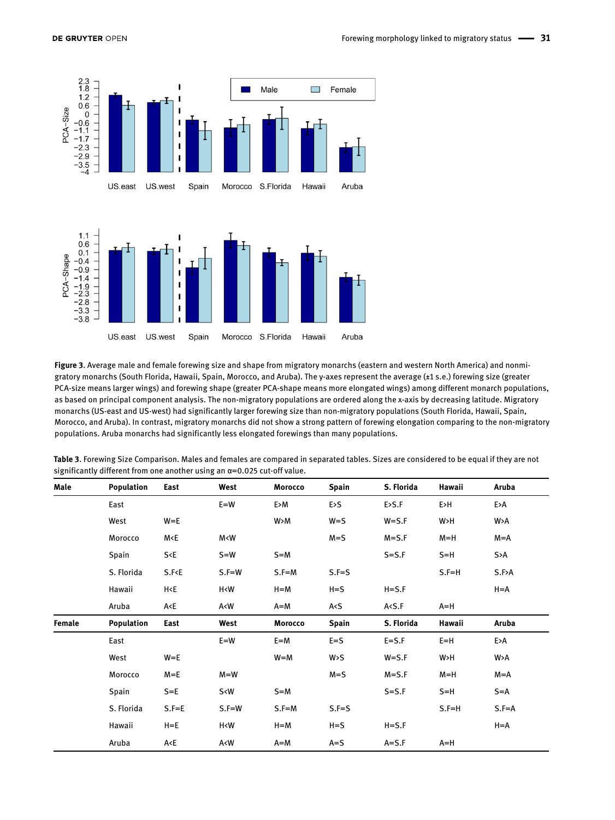



**Figure 3**. Average male and female forewing size and shape from migratory monarchs (eastern and western North America) and nonmigratory monarchs (South Florida, Hawaii, Spain, Morocco, and Aruba). The y-axes represent the average (±1 s.e.) forewing size (greater PCA-size means larger wings) and forewing shape (greater PCA-shape means more elongated wings) among different monarch populations, as based on principal component analysis. The non-migratory populations are ordered along the x-axis by decreasing latitude. Migratory monarchs (US-east and US-west) had significantly larger forewing size than non-migratory populations (South Florida, Hawaii, Spain, Morocco, and Aruba). In contrast, migratory monarchs did not show a strong pattern of forewing elongation comparing to the non-migratory populations. Aruba monarchs had significantly less elongated forewings than many populations.

| Male   | Population | East                                                                                                                                                              | West                                                                                                                                     | Morocco | <b>Spain</b> | S. Florida | Hawaii    | Aruba     |
|--------|------------|-------------------------------------------------------------------------------------------------------------------------------------------------------------------|------------------------------------------------------------------------------------------------------------------------------------------|---------|--------------|------------|-----------|-----------|
|        | East       |                                                                                                                                                                   | $E = W$                                                                                                                                  | E>M     | E>S          | E>5.F      | E>H       | E>A       |
|        | West       | $W = E$                                                                                                                                                           |                                                                                                                                          | W > M   | $W = S$      | $W = S.F$  | W>H       | W>A       |
|        | Morocco    | M <e< td=""><td>M<w< td=""><td></td><td><math>M = S</math></td><td><math>M = S.F</math></td><td><math>M=H</math></td><td><math>M=A</math></td></w<></td></e<>     | M <w< td=""><td></td><td><math>M = S</math></td><td><math>M = S.F</math></td><td><math>M=H</math></td><td><math>M=A</math></td></w<>     |         | $M = S$      | $M = S.F$  | $M=H$     | $M=A$     |
|        | Spain      | S E                                                                                                                                                               | $S = W$                                                                                                                                  | $S=M$   |              | $S = S.F$  | $S=H$     | S>A       |
|        | S. Florida | S.F E                                                                                                                                                             | $S.F=W$                                                                                                                                  | $S.F=M$ | $S.F = S$    |            | $S.F = H$ | S.F>A     |
|        | Hawaii     | H <e< td=""><td>H<w< td=""><td><math>H = M</math></td><td><math>H = S</math></td><td><math>H = S.F</math></td><td></td><td><math>H = A</math></td></w<></td></e<> | H <w< td=""><td><math>H = M</math></td><td><math>H = S</math></td><td><math>H = S.F</math></td><td></td><td><math>H = A</math></td></w<> | $H = M$ | $H = S$      | $H = S.F$  |           | $H = A$   |
|        | Aruba      | A <e< td=""><td>A<w< td=""><td><math>A=M</math></td><td>A &lt; S</td><td>A &lt; S.F</td><td><math>A=H</math></td><td></td></w<></td></e<>                         | A <w< td=""><td><math>A=M</math></td><td>A &lt; S</td><td>A &lt; S.F</td><td><math>A=H</math></td><td></td></w<>                         | $A=M$   | A < S        | A < S.F    | $A=H$     |           |
| Female | Population | East                                                                                                                                                              | West                                                                                                                                     | Morocco | <b>Spain</b> | S. Florida | Hawaii    | Aruba     |
|        | East       |                                                                                                                                                                   | $E = W$                                                                                                                                  | $E=M$   | $E = S$      | $E = S.F$  | $E=H$     | E>A       |
|        | West       | $W = E$                                                                                                                                                           |                                                                                                                                          | $W = M$ | W > S        | $W = S.F$  | W>H       | W>A       |
|        | Morocco    | $M = E$                                                                                                                                                           | $M = W$                                                                                                                                  |         | $M = S$      | $M = S.F$  | $M=H$     | $M=A$     |
|        | Spain      | $S = E$                                                                                                                                                           | S <w< td=""><td><math>S=M</math></td><td></td><td><math>S = S.F</math></td><td><math>S=H</math></td><td><math>S = A</math></td></w<>     | $S=M$   |              | $S = S.F$  | $S=H$     | $S = A$   |
|        | S. Florida | $S.F = E$                                                                                                                                                         | $S.F=W$                                                                                                                                  | $S.F=M$ | $S.F = S$    |            | $S.F=H$   | $S.F = A$ |
|        | Hawaii     | $H = E$                                                                                                                                                           | H <w< td=""><td><math>H = M</math></td><td><math>H = S</math></td><td><math>H = S.F</math></td><td></td><td><math>H = A</math></td></w<> | $H = M$ | $H = S$      | $H = S.F$  |           | $H = A$   |
|        | Aruba      | A <e< td=""><td>A<w< td=""><td><math>A=M</math></td><td><math>A = S</math></td><td><math>A = S.F</math></td><td><math>A=H</math></td><td></td></w<></td></e<>     | A <w< td=""><td><math>A=M</math></td><td><math>A = S</math></td><td><math>A = S.F</math></td><td><math>A=H</math></td><td></td></w<>     | $A=M$   | $A = S$      | $A = S.F$  | $A=H$     |           |

**Table 3**. Forewing Size Comparison. Males and females are compared in separated tables. Sizes are considered to be equal if they are not significantly different from one another using an α=0.025 cut-off value.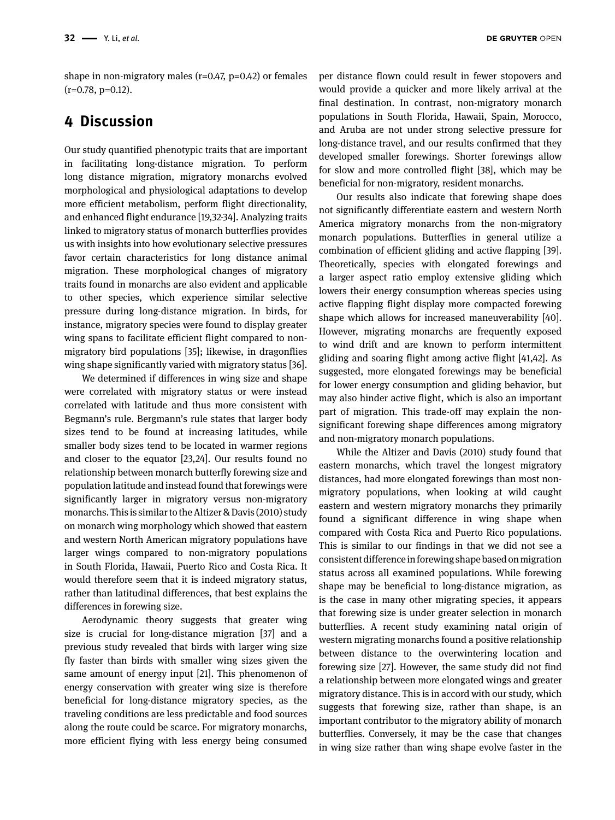shape in non-migratory males ( $r=0.47$ ,  $p=0.42$ ) or females  $(r=0.78, p=0.12)$ .

# **4 Discussion**

Our study quantified phenotypic traits that are important in facilitating long-distance migration. To perform long distance migration, migratory monarchs evolved morphological and physiological adaptations to develop more efficient metabolism, perform flight directionality, and enhanced flight endurance [19,32-34]. Analyzing traits linked to migratory status of monarch butterflies provides us with insights into how evolutionary selective pressures favor certain characteristics for long distance animal migration. These morphological changes of migratory traits found in monarchs are also evident and applicable to other species, which experience similar selective pressure during long-distance migration. In birds, for instance, migratory species were found to display greater wing spans to facilitate efficient flight compared to nonmigratory bird populations [35]; likewise, in dragonflies wing shape significantly varied with migratory status [36].

We determined if differences in wing size and shape were correlated with migratory status or were instead correlated with latitude and thus more consistent with Begmann's rule. Bergmann's rule states that larger body sizes tend to be found at increasing latitudes, while smaller body sizes tend to be located in warmer regions and closer to the equator [23,24]. Our results found no relationship between monarch butterfly forewing size and population latitude and instead found that forewings were significantly larger in migratory versus non-migratory monarchs. This is similar to the Altizer & Davis (2010) study on monarch wing morphology which showed that eastern and western North American migratory populations have larger wings compared to non-migratory populations in South Florida, Hawaii, Puerto Rico and Costa Rica. It would therefore seem that it is indeed migratory status, rather than latitudinal differences, that best explains the differences in forewing size.

Aerodynamic theory suggests that greater wing size is crucial for long-distance migration [37] and a previous study revealed that birds with larger wing size fly faster than birds with smaller wing sizes given the same amount of energy input [21]. This phenomenon of energy conservation with greater wing size is therefore beneficial for long-distance migratory species, as the traveling conditions are less predictable and food sources along the route could be scarce. For migratory monarchs, more efficient flying with less energy being consumed

per distance flown could result in fewer stopovers and would provide a quicker and more likely arrival at the final destination. In contrast, non-migratory monarch populations in South Florida, Hawaii, Spain, Morocco, and Aruba are not under strong selective pressure for long-distance travel, and our results confirmed that they developed smaller forewings. Shorter forewings allow for slow and more controlled flight [38], which may be beneficial for non-migratory, resident monarchs.

Our results also indicate that forewing shape does not significantly differentiate eastern and western North America migratory monarchs from the non-migratory monarch populations. Butterflies in general utilize a combination of efficient gliding and active flapping [39]. Theoretically, species with elongated forewings and a larger aspect ratio employ extensive gliding which lowers their energy consumption whereas species using active flapping flight display more compacted forewing shape which allows for increased maneuverability [40]. However, migrating monarchs are frequently exposed to wind drift and are known to perform intermittent gliding and soaring flight among active flight [41,42]. As suggested, more elongated forewings may be beneficial for lower energy consumption and gliding behavior, but may also hinder active flight, which is also an important part of migration. This trade-off may explain the nonsignificant forewing shape differences among migratory and non-migratory monarch populations.

While the Altizer and Davis (2010) study found that eastern monarchs, which travel the longest migratory distances, had more elongated forewings than most nonmigratory populations, when looking at wild caught eastern and western migratory monarchs they primarily found a significant difference in wing shape when compared with Costa Rica and Puerto Rico populations. This is similar to our findings in that we did not see a consistent difference in forewing shape based on migration status across all examined populations. While forewing shape may be beneficial to long-distance migration, as is the case in many other migrating species, it appears that forewing size is under greater selection in monarch butterflies. A recent study examining natal origin of western migrating monarchs found a positive relationship between distance to the overwintering location and forewing size [27]. However, the same study did not find a relationship between more elongated wings and greater migratory distance. This is in accord with our study, which suggests that forewing size, rather than shape, is an important contributor to the migratory ability of monarch butterflies. Conversely, it may be the case that changes in wing size rather than wing shape evolve faster in the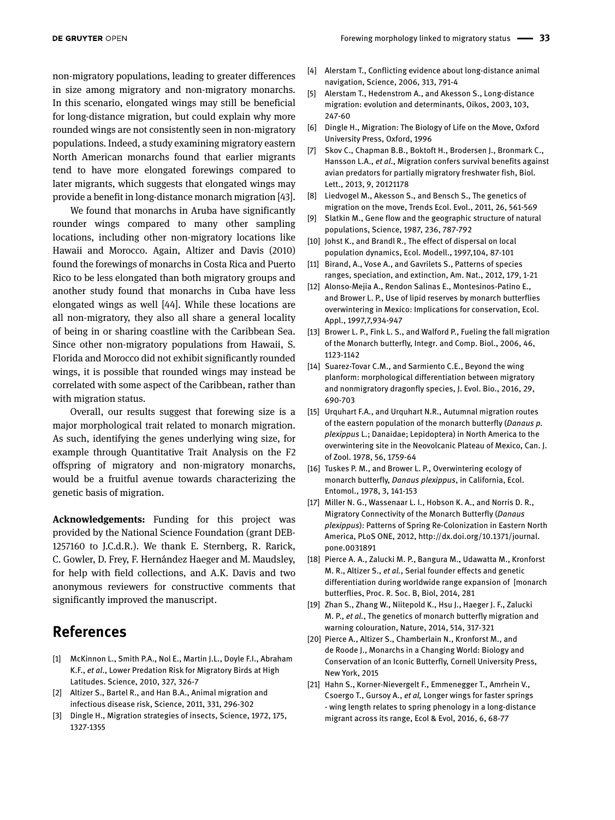non-migratory populations, leading to greater differences in size among migratory and non-migratory monarchs. In this scenario, elongated wings may still be beneficial for long-distance migration, but could explain why more rounded wings are not consistently seen in non-migratory populations. Indeed, a study examining migratory eastern North American monarchs found that earlier migrants tend to have more elongated forewings compared to later migrants, which suggests that elongated wings may provide a benefit in long-distance monarch migration [43].

We found that monarchs in Aruba have significantly rounder wings compared to many other sampling locations, including other non-migratory locations like Hawaii and Morocco. Again, Altizer and Davis (2010) found the forewings of monarchs in Costa Rica and Puerto Rico to be less elongated than both migratory groups and another study found that monarchs in Cuba have less elongated wings as well [44]. While these locations are all non-migratory, they also all share a general locality of being in or sharing coastline with the Caribbean Sea. Since other non-migratory populations from Hawaii, S. Florida and Morocco did not exhibit significantly rounded wings, it is possible that rounded wings may instead be correlated with some aspect of the Caribbean, rather than with migration status.

Overall, our results suggest that forewing size is a major morphological trait related to monarch migration. As such, identifying the genes underlying wing size, for example through Quantitative Trait Analysis on the F2 offspring of migratory and non-migratory monarchs, would be a fruitful avenue towards characterizing the genetic basis of migration.

**Acknowledgements:** Funding for this project was provided by the National Science Foundation (grant DEB-1257160 to J.C.d.R.). We thank E. Sternberg, R. Rarick, C. Gowler, D. Frey, F. Hernández Haeger and M. Maudsley, for help with field collections, and A.K. Davis and two anonymous reviewers for constructive comments that significantly improved the manuscript.

# **References**

- [1] McKinnon L., Smith P.A., Nol E., Martin J.L., Doyle F.I., Abraham K.F., *et al*., Lower Predation Risk for Migratory Birds at High Latitudes. Science, 2010, 327, 326-7
- [2] Altizer S., Bartel R., and Han B.A., Animal migration and infectious disease risk, Science, 2011, 331, 296-302
- [3] Dingle H., Migration strategies of insects, Science, 1972, 175, 1327-1355
- [4] Alerstam T., Conflicting evidence about long-distance animal navigation, Science, 2006, 313, 791-4
- [5] Alerstam T., Hedenstrom A., and Akesson S., Long-distance migration: evolution and determinants, Oikos, 2003, 103, 247-60
- [6] Dingle H., Migration: The Biology of Life on the Move, Oxford University Press, Oxford, 1996
- [7] Skov C., Chapman B.B., Boktoft H., Brodersen J., Bronmark C., Hansson L.A., *et al*., Migration confers survival benefits against avian predators for partially migratory freshwater fish, Biol. Lett., 2013, 9, 20121178
- [8] Liedvogel M., Akesson S., and Bensch S., The genetics of migration on the move, Trends Ecol. Evol., 2011, 26, 561-569
- [9] Slatkin M., Gene flow and the geographic structure of natural populations, Science, 1987, 236, 787-792
- [10] Johst K., and Brandl R., The effect of dispersal on local population dynamics, Ecol. Modell., 1997,104, 87-101
- [11] Birand, A., Vose A., and Gavrilets S., Patterns of species ranges, speciation, and extinction, Am. Nat., 2012, 179, 1-21
- [12] Alonso-Mejia A., Rendon Salinas E., Montesinos-Patino E., and Brower L. P., Use of lipid reserves by monarch butterflies overwintering in Mexico: Implications for conservation, Ecol. Appl., 1997,7,934-947
- [13] Brower L. P., Fink L. S., and Walford P., Fueling the fall migration of the Monarch butterfly, Integr. and Comp. Biol., 2006, 46, 1123-1142
- [14] Suarez-Tovar C.M., and Sarmiento C.E., Beyond the wing planform: morphological differentiation between migratory and nonmigratory dragonfly species, J. Evol. Bio., 2016, 29, 690-703
- [15] Urquhart F.A., and Urquhart N.R., Autumnal migration routes of the eastern population of the monarch butterfly (*Danaus p. plexippus* L.; Danaidae; Lepidoptera) in North America to the overwintering site in the Neovolcanic Plateau of Mexico, Can. J. of Zool. 1978, 56, 1759-64
- [16] Tuskes P. M., and Brower L. P., Overwintering ecology of monarch butterfly, *Danaus plexippus*, in California, Ecol. Entomol., 1978, 3, 141-153
- [17] Miller N. G., Wassenaar L. I., Hobson K. A., and Norris D. R., Migratory Connectivity of the Monarch Butterfly (*Danaus plexippus*): Patterns of Spring Re-Colonization in Eastern North America, PLoS ONE, 2012, http://dx.doi.org/10.1371/journal. pone.0031891
- [18] Pierce A. A., Zalucki M. P., Bangura M., Udawatta M., Kronforst M. R., Altizer S., *et al.*, Serial founder effects and genetic differentiation during worldwide range expansion of [monarch butterflies, Proc. R. Soc. B, Biol, 2014, 281
- [19] Zhan S., Zhang W., Niitepold K., Hsu J., Haeger J. F., Zalucki M. P., *et al.*, The genetics of monarch butterfly migration and warning colouration, Nature, 2014, 514, 317-321
- [20] Pierce A., Altizer S., Chamberlain N., Kronforst M., and de Roode J., Monarchs in a Changing World: Biology and Conservation of an Iconic Butterfly, Cornell University Press, New York, 2015
- [21] Hahn S., Korner-Nievergelt F., Emmenegger T., Amrhein V., Csoergo T., Gursoy A., *et al,* Longer wings for faster springs - wing length relates to spring phenology in a long-distance migrant across its range, Ecol & Evol, 2016, 6, 68-77